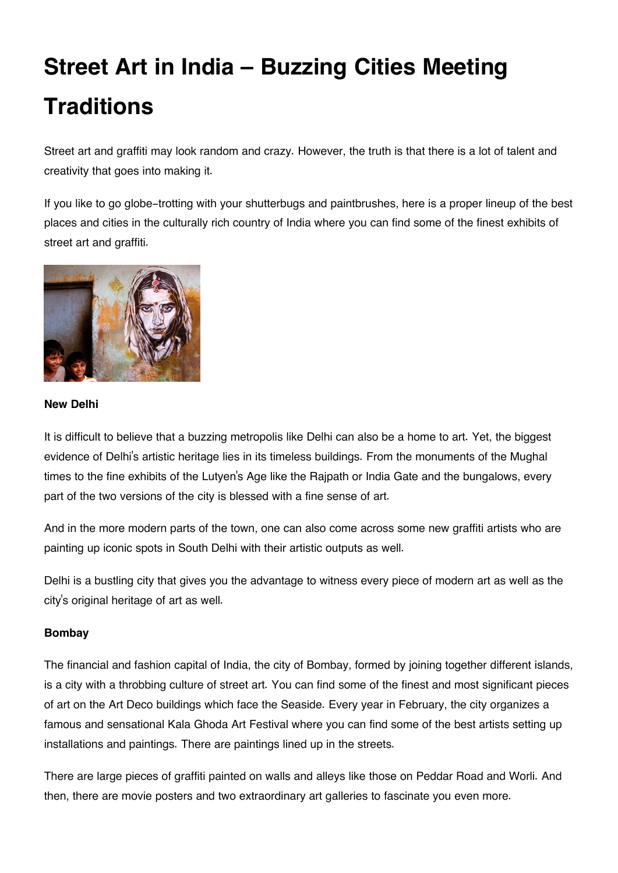# **Street Art in India – Buzzing Cities Meeting Traditions**

Street art and graffiti may look random and crazy. However, the truth is that there is a lot of talent and creativity that goes into making it.

If you like to go globe-trotting with your shutterbugs and paintbrushes, here is a proper lineup of the best places and cities in the culturally rich country of India where you can find some of the finest exhibits of street art and graffiti.



## **New Delhi**

It is difficult to believe that a buzzing metropolis like Delhi can also be a home to art. Yet, the biggest evidence of Delhi's artistic heritage lies in its timeless buildings. From the monuments of the Mughal times to the fine exhibits of the Lutyen's Age like the Rajpath or India Gate and the bungalows, every part of the two versions of the city is blessed with a fine sense of art.

And in the more modern parts of the town, one can also come across some new graffiti artists who are painting up iconic spots in South Delhi with their artistic outputs as well.

Delhi is a bustling city that gives you the advantage to witness every piece of modern art as well as the city's original heritage of art as well.

# **Bombay**

The financial and fashion capital of India, the city of Bombay, formed by joining together different islands, is a city with a throbbing culture of street art. You can find some of the finest and most significant pieces of art on the Art Deco buildings which face the Seaside. Every year in February, the city organizes a famous and sensational Kala Ghoda Art Festival where you can find some of the best artists setting up installations and paintings. There are paintings lined up in the streets.

There are large pieces of graffiti painted on walls and alleys like those on Peddar Road and Worli. And then, there are movie posters and two extraordinary art galleries to fascinate you even more.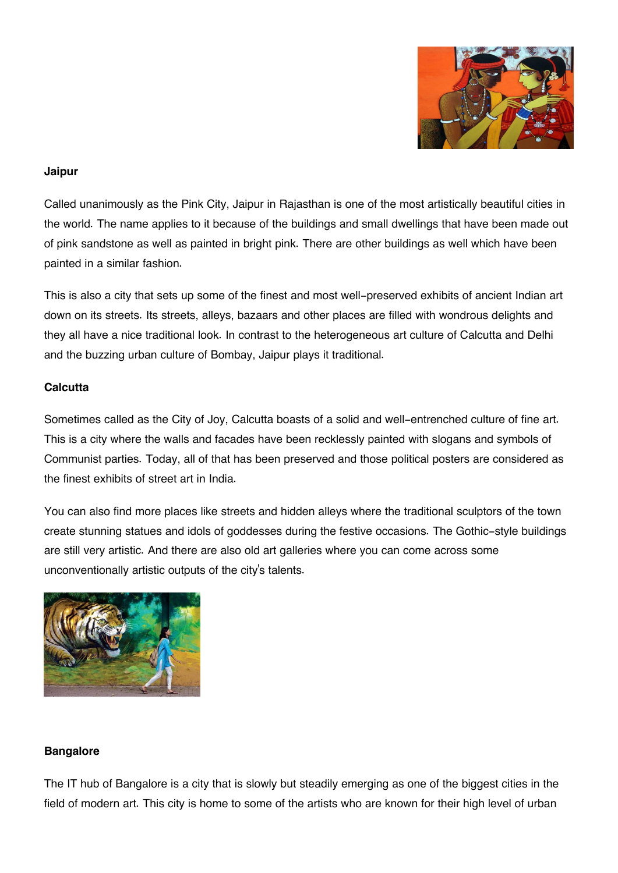

#### **Jaipur**

Called unanimously as the Pink City, Jaipur in Rajasthan is one of the most artistically beautiful cities in the world. The name applies to it because of the buildings and small dwellings that have been made out of pink sandstone as well as painted in bright pink. There are other buildings as well which have been painted in a similar fashion.

This is also a city that sets up some of the finest and most well-preserved exhibits of ancient Indian art down on its streets. Its streets, alleys, bazaars and other places are filled with wondrous delights and they all have a nice traditional look. In contrast to the heterogeneous art culture of Calcutta and Delhi and the buzzing urban culture of Bombay, Jaipur plays it traditional.

## **Calcutta**

Sometimes called as the City of Joy, Calcutta boasts of a solid and well-entrenched culture of fine art. This is a city where the walls and facades have been recklessly painted with slogans and symbols of Communist parties. Today, all of that has been preserved and those political posters are considered as the finest exhibits of street art in India.

You can also find more places like streets and hidden alleys where the traditional sculptors of the town create stunning statues and idols of goddesses during the festive occasions. The Gothic-style buildings are still very artistic. And there are also old art galleries where you can come across some unconventionally artistic outputs of the city's talents.



#### **Bangalore**

The IT hub of Bangalore is a city that is slowly but steadily emerging as one of the biggest cities in the field of modern art. This city is home to some of the artists who are known for their high level of urban